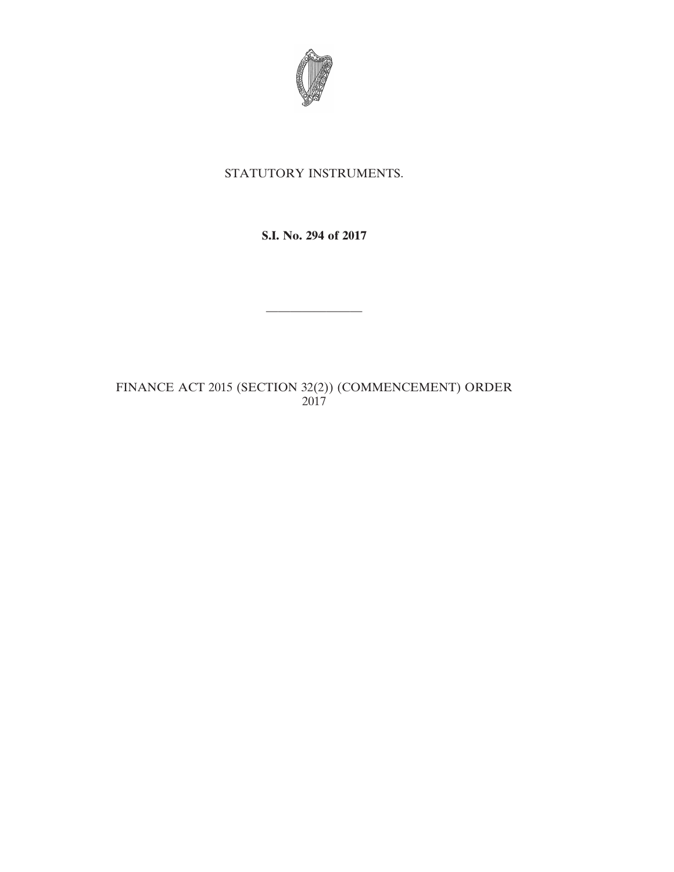

## STATUTORY INSTRUMENTS.

**S.I. No. 294 of 2017**

————————

FINANCE ACT 2015 (SECTION 32(2)) (COMMENCEMENT) ORDER 2017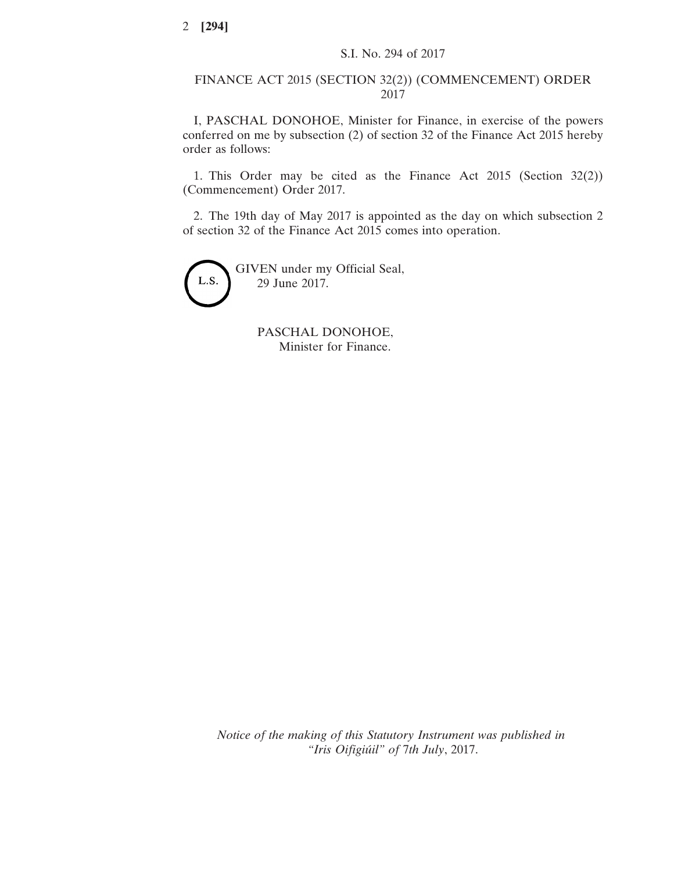## FINANCE ACT 2015 (SECTION 32(2)) (COMMENCEMENT) ORDER 2017

I, PASCHAL DONOHOE, Minister for Finance, in exercise of the powers conferred on me by subsection (2) of section 32 of the Finance Act 2015 hereby order as follows:

1. This Order may be cited as the Finance Act 2015 (Section 32(2)) (Commencement) Order 2017.

2. The 19th day of May 2017 is appointed as the day on which subsection 2 of section 32 of the Finance Act 2015 comes into operation.



PASCHAL DONOHOE, Minister for Finance.

*Notice of the making of this Statutory Instrument was published in "Iris Oifigiúil" of* 7*th July*, 2017.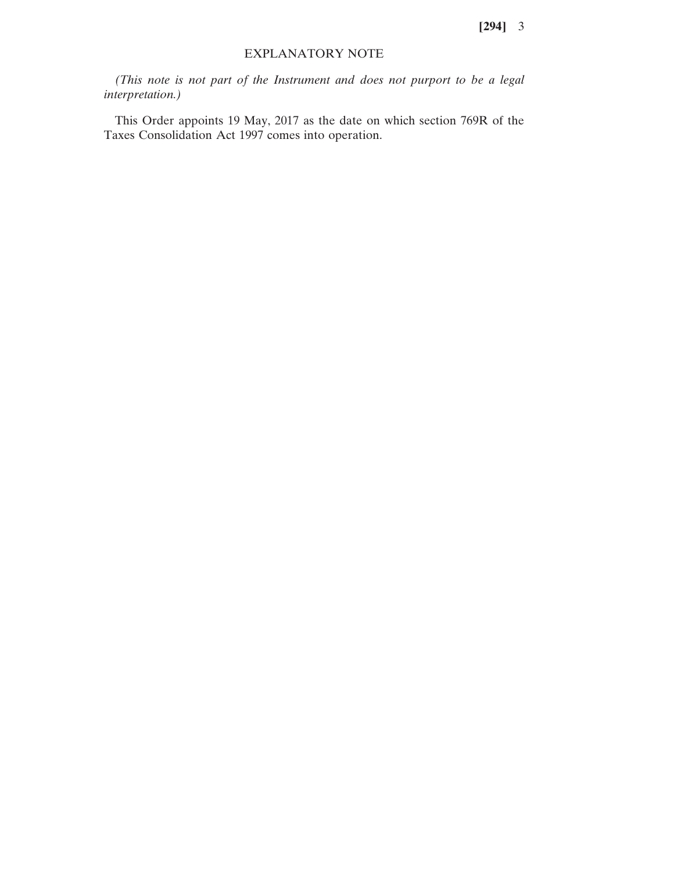## EXPLANATORY NOTE

*(This note is not part of the Instrument and does not purport to be a legal interpretation.)*

This Order appoints 19 May, 2017 as the date on which section 769R of the Taxes Consolidation Act 1997 comes into operation.